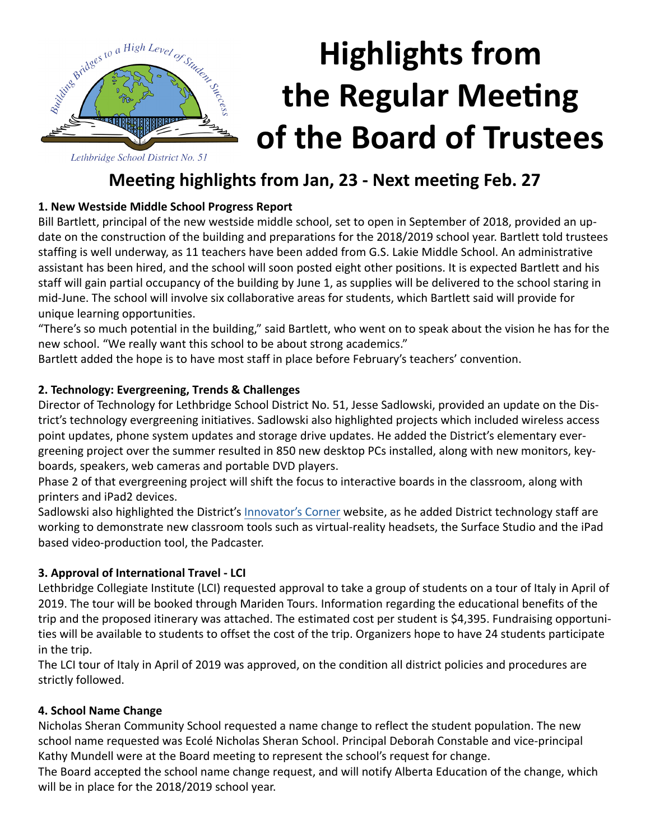

# **Highlights from the Regular Meeting of the Board of Trustees**

# **Meeting highlights from Jan, 23 - Next meeting Feb. 27**

# **1. New Westside Middle School Progress Report**

Bill Bartlett, principal of the new westside middle school, set to open in September of 2018, provided an update on the construction of the building and preparations for the 2018/2019 school year. Bartlett told trustees staffing is well underway, as 11 teachers have been added from G.S. Lakie Middle School. An administrative assistant has been hired, and the school will soon posted eight other positions. It is expected Bartlett and his staff will gain partial occupancy of the building by June 1, as supplies will be delivered to the school staring in mid-June. The school will involve six collaborative areas for students, which Bartlett said will provide for unique learning opportunities.

"There's so much potential in the building," said Bartlett, who went on to speak about the vision he has for the new school. "We really want this school to be about strong academics."

Bartlett added the hope is to have most staff in place before February's teachers' convention.

# **2. Technology: Evergreening, Trends & Challenges**

Director of Technology for Lethbridge School District No. 51, Jesse Sadlowski, provided an update on the District's technology evergreening initiatives. Sadlowski also highlighted projects which included wireless access point updates, phone system updates and storage drive updates. He added the District's elementary evergreening project over the summer resulted in 850 new desktop PCs installed, along with new monitors, keyboards, speakers, web cameras and portable DVD players.

Phase 2 of that evergreening project will shift the focus to interactive boards in the classroom, along with printers and iPad2 devices.

Sadlowski also highlighted the District's [Innovator's Corner](http://www.lethsd.ab.ca/Innovators%20Corner.php) website, as he added District technology staff are working to demonstrate new classroom tools such as virtual-reality headsets, the Surface Studio and the iPad based video-production tool, the Padcaster.

# **3. Approval of International Travel - LCI**

Lethbridge Collegiate Institute (LCI) requested approval to take a group of students on a tour of Italy in April of 2019. The tour will be booked through Mariden Tours. Information regarding the educational benefits of the trip and the proposed itinerary was attached. The estimated cost per student is \$4,395. Fundraising opportunities will be available to students to offset the cost of the trip. Organizers hope to have 24 students participate in the trip.

The LCI tour of Italy in April of 2019 was approved, on the condition all district policies and procedures are strictly followed.

#### **4. School Name Change**

Nicholas Sheran Community School requested a name change to reflect the student population. The new school name requested was Ecolé Nicholas Sheran School. Principal Deborah Constable and vice-principal Kathy Mundell were at the Board meeting to represent the school's request for change.

The Board accepted the school name change request, and will notify Alberta Education of the change, which will be in place for the 2018/2019 school year.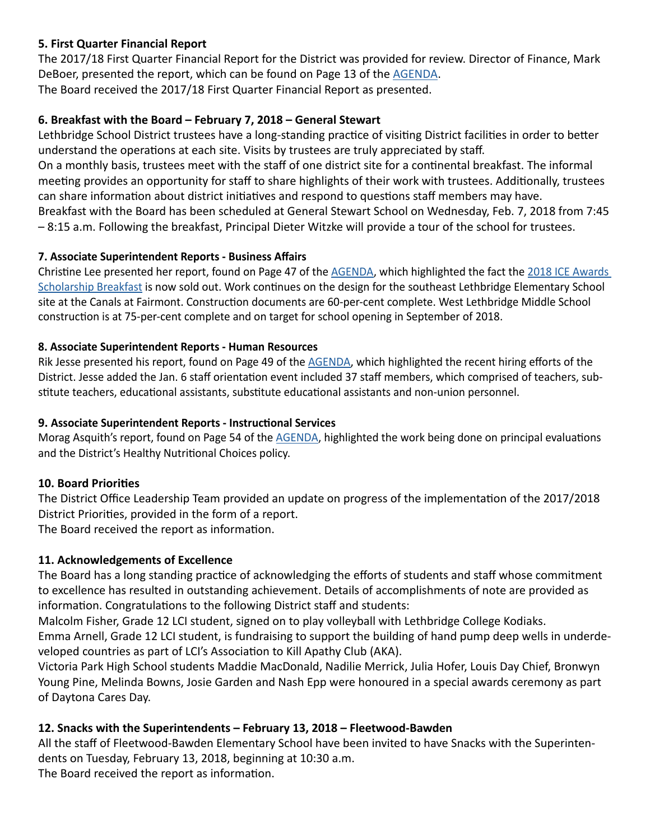#### **5. First Quarter Financial Report**

The 2017/18 First Quarter Financial Report for the District was provided for review. Director of Finance, Mark DeBoer, presented the report, which can be found on Page 13 of the [AGENDA.](http://www.lethsd.ab.ca/documents/general/2018-01-23%20Board%20Meeting%20Agenda.pdf) The Board received the 2017/18 First Quarter Financial Report as presented.

# **6. Breakfast with the Board – February 7, 2018 – General Stewart**

Lethbridge School District trustees have a long-standing practice of visiting District facilities in order to better understand the operations at each site. Visits by trustees are truly appreciated by staff.

On a monthly basis, trustees meet with the staff of one district site for a continental breakfast. The informal meeting provides an opportunity for staff to share highlights of their work with trustees. Additionally, trustees can share information about district initiatives and respond to questions staff members may have.

Breakfast with the Board has been scheduled at General Stewart School on Wednesday, Feb. 7, 2018 from 7:45 – 8:15 a.m. Following the breakfast, Principal Dieter Witzke will provide a tour of the school for trustees.

# **7. Associate Superintendent Reports - Business Affairs**

Christine Lee presented her report, found on Page 47 of the [AGENDA](http://www.lethsd.ab.ca/documents/general/2018-01-23%20Board%20Meeting%20Agenda.pdf), which highlighted the fact the [2018 ICE Awards](http://www.lethsd.ab.ca/Canada%20150%20ICE%20Awards%20Scholarship%20Breakfast.php)  [Scholarship Breakfast](http://www.lethsd.ab.ca/Canada%20150%20ICE%20Awards%20Scholarship%20Breakfast.php) is now sold out. Work continues on the design for the southeast Lethbridge Elementary School site at the Canals at Fairmont. Construction documents are 60-per-cent complete. West Lethbridge Middle School construction is at 75-per-cent complete and on target for school opening in September of 2018.

#### **8. Associate Superintendent Reports - Human Resources**

Rik Jesse presented his report, found on Page 49 of the **AGENDA**, which highlighted the recent hiring efforts of the District. Jesse added the Jan. 6 staff orientation event included 37 staff members, which comprised of teachers, substitute teachers, educational assistants, substitute educational assistants and non-union personnel.

### **9. Associate Superintendent Reports - Instructional Services**

Morag Asquith's report, found on Page 54 of the [AGENDA](http://www.lethsd.ab.ca/documents/general/2018-01-23%20Board%20Meeting%20Agenda.pdf), highlighted the work being done on principal evaluations and the District's Healthy Nutritional Choices policy.

# **10. Board Priorities**

The District Office Leadership Team provided an update on progress of the implementation of the 2017/2018 District Priorities, provided in the form of a report.

The Board received the report as information.

# **11. Acknowledgements of Excellence**

The Board has a long standing practice of acknowledging the efforts of students and staff whose commitment to excellence has resulted in outstanding achievement. Details of accomplishments of note are provided as information. Congratulations to the following District staff and students:

Malcolm Fisher, Grade 12 LCI student, signed on to play volleyball with Lethbridge College Kodiaks.

Emma Arnell, Grade 12 LCI student, is fundraising to support the building of hand pump deep wells in underdeveloped countries as part of LCI's Association to Kill Apathy Club (AKA).

Victoria Park High School students Maddie MacDonald, Nadilie Merrick, Julia Hofer, Louis Day Chief, Bronwyn Young Pine, Melinda Bowns, Josie Garden and Nash Epp were honoured in a special awards ceremony as part of Daytona Cares Day.

# **12. Snacks with the Superintendents – February 13, 2018 – Fleetwood-Bawden**

All the staff of Fleetwood-Bawden Elementary School have been invited to have Snacks with the Superintendents on Tuesday, February 13, 2018, beginning at 10:30 a.m.

The Board received the report as information.